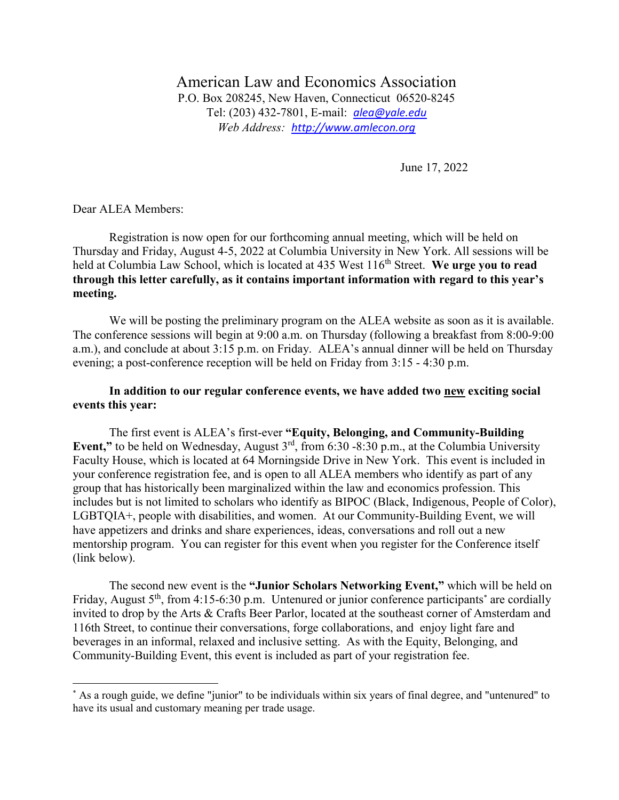American Law and Economics Association P.O. Box 208245, New Haven, Connecticut 06520-8245 Tel: (203) 432-7801, E-mail: *[alea@yale.edu](mailto:alea@yale.edu) Web Address: [http://www.amlecon.org](http://www.amlecon.org/)*

June 17, 2022

Dear ALEA Members:

 $\overline{\phantom{a}}$ 

Registration is now open for our forthcoming annual meeting, which will be held on Thursday and Friday, August 4-5, 2022 at Columbia University in New York. All sessions will be held at Columbia Law School, which is located at 435 West 116<sup>th</sup> Street. We urge you to read **through this letter carefully, as it contains important information with regard to this year's meeting.**

We will be posting the preliminary program on the ALEA website as soon as it is available. The conference sessions will begin at 9:00 a.m. on Thursday (following a breakfast from 8:00-9:00 a.m.), and conclude at about 3:15 p.m. on Friday. ALEA's annual dinner will be held on Thursday evening; a post-conference reception will be held on Friday from 3:15 - 4:30 p.m.

## **In addition to our regular conference events, we have added two new exciting social events this year:**

The first event is ALEA's first-ever **"Equity, Belonging, and Community-Building Event,"** to be held on Wednesday, August 3<sup>rd</sup>, from 6:30 -8:30 p.m., at the Columbia University Faculty House, which is located at 64 Morningside Drive in New York. This event is included in your conference registration fee, and is open to all ALEA members who identify as part of any group that has historically been marginalized within the law and economics profession. This includes but is not limited to scholars who identify as BIPOC (Black, Indigenous, People of Color), LGBTQIA+, people with disabilities, and women. At our Community-Building Event, we will have appetizers and drinks and share experiences, ideas, conversations and roll out a new mentorship program. You can register for this event when you register for the Conference itself (link below).

The second new event is the **"Junior Scholars Networking Event,"** which will be held on Friday, August  $5<sup>th</sup>$ , from 4:15-6:30 p.m. Untenured or junior conference participants<sup>\*</sup> are cordially invited to drop by the Arts & Crafts Beer Parlor, located at the southeast corner of Amsterdam and 116th Street, to continue their conversations, forge collaborations, and enjoy light fare and beverages in an informal, relaxed and inclusive setting. As with the Equity, Belonging, and Community-Building Event, this event is included as part of your registration fee.

<sup>\*</sup> As a rough guide, we define "junior" to be individuals within six years of final degree, and "untenured" to have its usual and customary meaning per trade usage.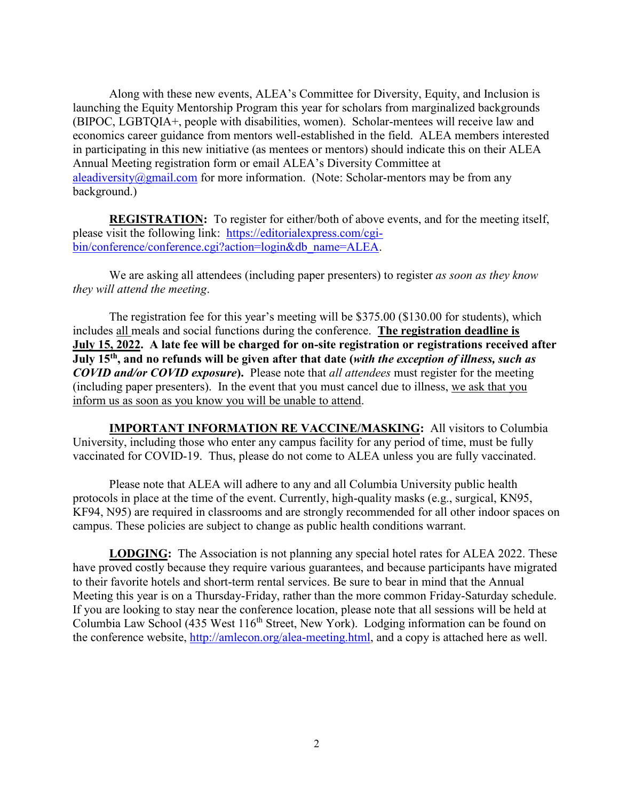Along with these new events, ALEA's Committee for Diversity, Equity, and Inclusion is launching the Equity Mentorship Program this year for scholars from marginalized backgrounds (BIPOC, LGBTQIA+, people with disabilities, women). Scholar-mentees will receive law and economics career guidance from mentors well-established in the field. ALEA members interested in participating in this new initiative (as mentees or mentors) should indicate this on their ALEA Annual Meeting registration form or email ALEA's Diversity Committee at [aleadiversity@gmail.com](mailto:aleadiversity@gmail.com) for more information. (Note: Scholar-mentors may be from any background.)

**REGISTRATION:** To register for either/both of above events, and for the meeting itself, please visit the following link: [https://editorialexpress.com/cgi](https://editorialexpress.com/cgi-bin/conference/conference.cgi?action=login&db_name=ALEA)[bin/conference/conference.cgi?action=login&db\\_name=ALEA.](https://editorialexpress.com/cgi-bin/conference/conference.cgi?action=login&db_name=ALEA)

We are asking all attendees (including paper presenters) to register *as soon as they know they will attend the meeting*.

The registration fee for this year's meeting will be \$375.00 (\$130.00 for students), which includes all meals and social functions during the conference. **The registration deadline is July 15, 2022. A late fee will be charged for on-site registration or registrations received after July 15th , and no refunds will be given after that date (***with the exception of illness, such as COVID and/or COVID exposure***).** Please note that *all attendees* must register for the meeting (including paper presenters). In the event that you must cancel due to illness, we ask that you inform us as soon as you know you will be unable to attend.

**IMPORTANT INFORMATION RE VACCINE/MASKING:** All visitors to Columbia University, including those who enter any campus facility for any period of time, must be fully vaccinated for COVID-19.Thus, please do not come to ALEA unless you are fully vaccinated.

Please note that ALEA will adhere to any and all Columbia University public health protocols in place at the time of the event. Currently, high-quality masks (e.g., surgical, KN95, KF94, N95) are required in classrooms and are strongly recommended for all other indoor spaces on campus. These policies are subject to change as public health conditions warrant.

**LODGING:** The Association is not planning any special hotel rates for ALEA 2022. These have proved costly because they require various guarantees, and because participants have migrated to their favorite hotels and short-term rental services. Be sure to bear in mind that the Annual Meeting this year is on a Thursday-Friday, rather than the more common Friday-Saturday schedule. If you are looking to stay near the conference location, please note that all sessions will be held at Columbia Law School (435 West 116<sup>th</sup> Street, New York). Lodging information can be found on the conference website, [http://amlecon.org/alea-meeting.html,](http://amlecon.org/alea-meeting.html) and a copy is attached here as well.